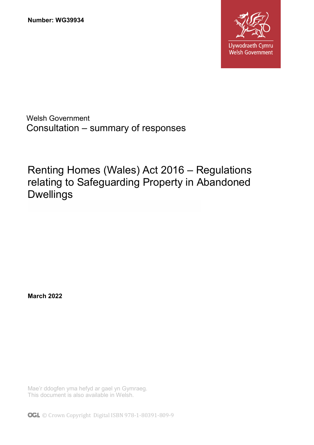

Welsh Government Consultation – summary of responses

Renting Homes (Wales) Act 2016 – Regulations relating to Safeguarding Property in Abandoned Dwellings

**March 2022**

Mae'r ddogfen yma hefyd ar gael yn Gymraeg. This document is also available in Welsh.

**OGL** © Crown Copyright Digital ISBN 978-1-80391-809-9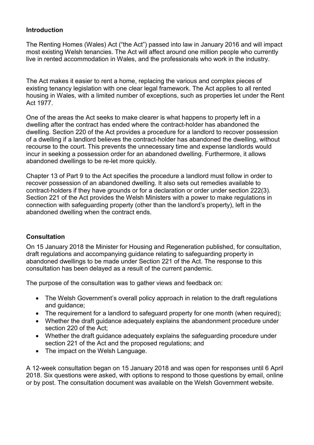## **Introduction**

The Renting Homes (Wales) Act ("the Act") passed into law in January 2016 and will impact most existing Welsh tenancies. The Act will affect around one million people who currently live in rented accommodation in Wales, and the professionals who work in the industry.

The Act makes it easier to rent a home, replacing the various and complex pieces of existing tenancy legislation with one clear legal framework. The Act applies to all rented housing in Wales, with a limited number of exceptions, such as properties let under the Rent Act 1977.

One of the areas the Act seeks to make clearer is what happens to property left in a dwelling after the contract has ended where the contract-holder has abandoned the dwelling. Section 220 of the Act provides a procedure for a landlord to recover possession of a dwelling if a landlord believes the contract-holder has abandoned the dwelling, without recourse to the court. This prevents the unnecessary time and expense landlords would incur in seeking a possession order for an abandoned dwelling. Furthermore, it allows abandoned dwellings to be re-let more quickly.

Chapter 13 of Part 9 to the Act specifies the procedure a landlord must follow in order to recover possession of an abandoned dwelling. It also sets out remedies available to contract-holders if they have grounds or for a declaration or order under section 222(3). Section 221 of the Act provides the Welsh Ministers with a power to make regulations in connection with safeguarding property (other than the landlord's property), left in the abandoned dwelling when the contract ends.

# **Consultation**

On 15 January 2018 the Minister for Housing and Regeneration published, for consultation, draft regulations and accompanying guidance relating to safeguarding property in abandoned dwellings to be made under Section 221 of the Act. The response to this consultation has been delayed as a result of the current pandemic.

The purpose of the consultation was to gather views and feedback on:

- The Welsh Government's overall policy approach in relation to the draft regulations and quidance:
- The requirement for a landlord to safeguard property for one month (when required);
- Whether the draft guidance adequately explains the abandonment procedure under section 220 of the Act;
- Whether the draft guidance adequately explains the safeguarding procedure under section 221 of the Act and the proposed regulations; and
- The impact on the Welsh Language.

A 12-week consultation began on 15 January 2018 and was open for responses until 6 April 2018. Six questions were asked, with options to respond to those questions by email, online or by post. The consultation document was available on the Welsh Government website.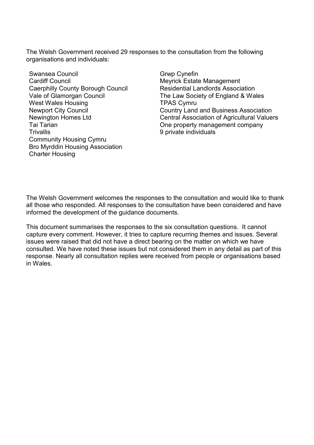The Welsh Government received 29 responses to the consultation from the following organisations and individuals:

Swansea Council Cardiff Council Caerphilly County Borough Council Vale of Glamorgan Council West Wales Housing Newport City Council Newington Homes Ltd Tai Tarian **Trivallis** Community Housing Cymru Bro Myrddin Housing Association Charter Housing

Grwp Cynefin Meyrick Estate Management Residential Landlords Association The Law Society of England & Wales TPAS Cymru Country Land and Business Association Central Association of Agricultural Valuers One property management company 9 private individuals

The Welsh Government welcomes the responses to the consultation and would like to thank all those who responded. All responses to the consultation have been considered and have informed the development of the guidance documents.

This document summarises the responses to the six consultation questions. It cannot capture every comment. However, it tries to capture recurring themes and issues. Several issues were raised that did not have a direct bearing on the matter on which we have consulted. We have noted these issues but not considered them in any detail as part of this response. Nearly all consultation replies were received from people or organisations based in Wales.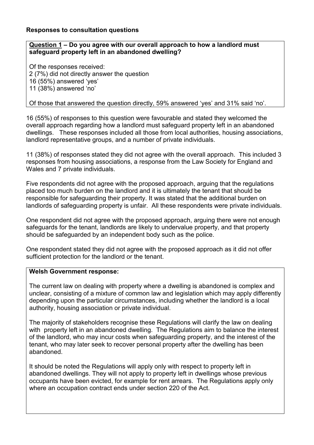# **Responses to consultation questions**

# **Question 1 – Do you agree with our overall approach to how a landlord must safeguard property left in an abandoned dwelling?**

Of the responses received: 2 (7%) did not directly answer the question 16 (55%) answered 'yes' 11 (38%) answered 'no'

Of those that answered the question directly, 59% answered 'yes' and 31% said 'no'.

16 (55%) of responses to this question were favourable and stated they welcomed the overall approach regarding how a landlord must safeguard property left in an abandoned dwellings. These responses included all those from local authorities, housing associations, landlord representative groups, and a number of private individuals.

11 (38%) of responses stated they did not agree with the overall approach. This included 3 responses from housing associations, a response from the Law Society for England and Wales and 7 private individuals.

Five respondents did not agree with the proposed approach, arguing that the regulations placed too much burden on the landlord and it is ultimately the tenant that should be responsible for safeguarding their property. It was stated that the additional burden on landlords of safeguarding property is unfair. All these respondents were private individuals.

One respondent did not agree with the proposed approach, arguing there were not enough safeguards for the tenant, landlords are likely to undervalue property, and that property should be safeguarded by an independent body such as the police.

One respondent stated they did not agree with the proposed approach as it did not offer sufficient protection for the landlord or the tenant.

### **Welsh Government response:**

The current law on dealing with property where a dwelling is abandoned is complex and unclear, consisting of a mixture of common law and legislation which may apply differently depending upon the particular circumstances, including whether the landlord is a local authority, housing association or private individual.

The majority of stakeholders recognise these Regulations will clarify the law on dealing with property left in an abandoned dwelling. The Regulations aim to balance the interest of the landlord, who may incur costs when safeguarding property, and the interest of the tenant, who may later seek to recover personal property after the dwelling has been abandoned.

It should be noted the Regulations will apply only with respect to property left in abandoned dwellings. They will not apply to property left in dwellings whose previous occupants have been evicted, for example for rent arrears. The Regulations apply only where an occupation contract ends under section 220 of the Act.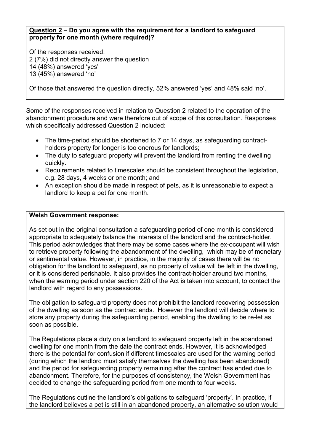#### **Question 2 – Do you agree with the requirement for a landlord to safeguard property for one month (where required)?**

Of the responses received: 2 (7%) did not directly answer the question 14 (48%) answered 'yes' 13 (45%) answered 'no'

Of those that answered the question directly, 52% answered 'yes' and 48% said 'no'.

Some of the responses received in relation to Question 2 related to the operation of the abandonment procedure and were therefore out of scope of this consultation. Responses which specifically addressed Question 2 included:

- The time-period should be shortened to 7 or 14 days, as safeguarding contractholders property for longer is too onerous for landlords;
- The duty to safeguard property will prevent the landlord from renting the dwelling quickly.
- Requirements related to timescales should be consistent throughout the legislation, e.g. 28 days, 4 weeks or one month; and
- An exception should be made in respect of pets, as it is unreasonable to expect a landlord to keep a pet for one month.

### **Welsh Government response:**

As set out in the original consultation a safeguarding period of one month is considered appropriate to adequately balance the interests of the landlord and the contract-holder. This period acknowledges that there may be some cases where the ex-occupant will wish to retrieve property following the abandonment of the dwelling, which may be of monetary or sentimental value. However, in practice, in the majority of cases there will be no obligation for the landlord to safeguard, as no property of value will be left in the dwelling, or it is considered perishable. It also provides the contract-holder around two months, when the warning period under section 220 of the Act is taken into account, to contact the landlord with regard to any possessions.

The obligation to safeguard property does not prohibit the landlord recovering possession of the dwelling as soon as the contract ends. However the landlord will decide where to store any property during the safeguarding period, enabling the dwelling to be re-let as soon as possible.

The Regulations place a duty on a landlord to safeguard property left in the abandoned dwelling for one month from the date the contract ends. However, it is acknowledged there is the potential for confusion if different timescales are used for the warning period (during which the landlord must satisfy themselves the dwelling has been abandoned) and the period for safeguarding property remaining after the contract has ended due to abandonment. Therefore, for the purposes of consistency, the Welsh Government has decided to change the safeguarding period from one month to four weeks.

The Regulations outline the landlord's obligations to safeguard 'property'. In practice, if the landlord believes a pet is still in an abandoned property, an alternative solution would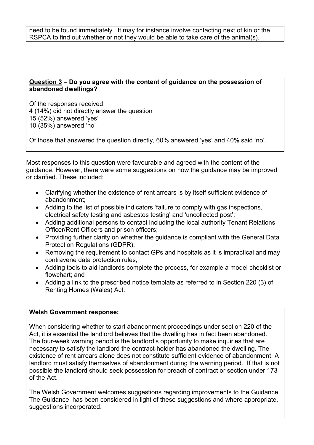need to be found immediately. It may for instance involve contacting next of kin or the RSPCA to find out whether or not they would be able to take care of the animal(s).

### **Question 3 – Do you agree with the content of guidance on the possession of abandoned dwellings?**

Of the responses received: 4 (14%) did not directly answer the question 15 (52%) answered 'yes' 10 (35%) answered 'no'

Of those that answered the question directly, 60% answered 'yes' and 40% said 'no'.

Most responses to this question were favourable and agreed with the content of the guidance. However, there were some suggestions on how the guidance may be improved or clarified. These included:

- Clarifying whether the existence of rent arrears is by itself sufficient evidence of abandonment;
- Adding to the list of possible indicators 'failure to comply with gas inspections, electrical safety testing and asbestos testing' and 'uncollected post';
- Adding additional persons to contact including the local authority Tenant Relations Officer/Rent Officers and prison officers;
- Providing further clarity on whether the guidance is compliant with the General Data Protection Regulations (GDPR);
- Removing the requirement to contact GPs and hospitals as it is impractical and may contravene data protection rules;
- Adding tools to aid landlords complete the process, for example a model checklist or flowchart; and
- Adding a link to the prescribed notice template as referred to in Section 220 (3) of Renting Homes (Wales) Act.

### **Welsh Government response:**

When considering whether to start abandonment proceedings under section 220 of the Act, it is essential the landlord believes that the dwelling has in fact been abandoned. The four-week warning period is the landlord's opportunity to make inquiries that are necessary to satisfy the landlord the contract-holder has abandoned the dwelling. The existence of rent arrears alone does not constitute sufficient evidence of abandonment. A landlord must satisfy themselves of abandonment during the warning period. If that is not possible the landlord should seek possession for breach of contract or section under 173 of the Act.

The Welsh Government welcomes suggestions regarding improvements to the Guidance. The Guidance has been considered in light of these suggestions and where appropriate, suggestions incorporated.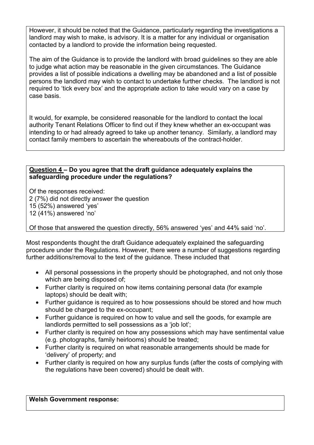However, it should be noted that the Guidance, particularly regarding the investigations a landlord may wish to make, is advisory. It is a matter for any individual or organisation contacted by a landlord to provide the information being requested.

The aim of the Guidance is to provide the landlord with broad guidelines so they are able to judge what action may be reasonable in the given circumstances. The Guidance provides a list of possible indications a dwelling may be abandoned and a list of possible persons the landlord may wish to contact to undertake further checks. The landlord is not required to 'tick every box' and the appropriate action to take would vary on a case by case basis.

It would, for example, be considered reasonable for the landlord to contact the local authority Tenant Relations Officer to find out if they knew whether an ex-occupant was intending to or had already agreed to take up another tenancy. Similarly, a landlord may contact family members to ascertain the whereabouts of the contract-holder.

### **Question 4 – Do you agree that the draft guidance adequately explains the safeguarding procedure under the regulations?**

Of the responses received: 2 (7%) did not directly answer the question 15 (52%) answered 'yes' 12 (41%) answered 'no'

Of those that answered the question directly, 56% answered 'yes' and 44% said 'no'.

Most respondents thought the draft Guidance adequately explained the safeguarding procedure under the Regulations. However, there were a number of suggestions regarding further additions/removal to the text of the guidance. These included that

- All personal possessions in the property should be photographed, and not only those which are being disposed of;
- Further clarity is required on how items containing personal data (for example laptops) should be dealt with;
- Further guidance is required as to how possessions should be stored and how much should be charged to the ex-occupant;
- Further guidance is required on how to value and sell the goods, for example are landlords permitted to sell possessions as a 'job lot';
- Further clarity is required on how any possessions which may have sentimental value (e.g. photographs, family heirlooms) should be treated;
- Further clarity is required on what reasonable arrangements should be made for 'delivery' of property; and
- Further clarity is required on how any surplus funds (after the costs of complying with the regulations have been covered) should be dealt with.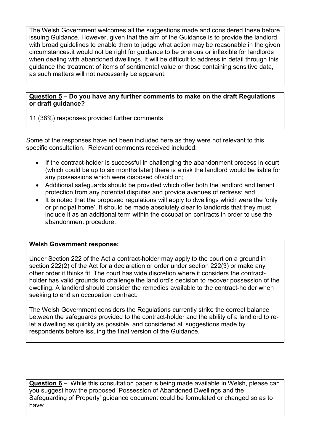The Welsh Government welcomes all the suggestions made and considered these before issuing Guidance. However, given that the aim of the Guidance is to provide the landlord with broad guidelines to enable them to judge what action may be reasonable in the given circumstances.it would not be right for guidance to be onerous or inflexible for landlords when dealing with abandoned dwellings. It will be difficult to address in detail through this guidance the treatment of items of sentimental value or those containing sensitive data, as such matters will not necessarily be apparent.

### **Question 5 – Do you have any further comments to make on the draft Regulations or draft guidance?**

11 (38%) responses provided further comments

Some of the responses have not been included here as they were not relevant to this specific consultation. Relevant comments received included:

- If the contract-holder is successful in challenging the abandonment process in court (which could be up to six months later) there is a risk the landlord would be liable for any possessions which were disposed of/sold on;
- Additional safeguards should be provided which offer both the landlord and tenant protection from any potential disputes and provide avenues of redress; and
- It is noted that the proposed regulations will apply to dwellings which were the 'only or principal home'. It should be made absolutely clear to landlords that they must include it as an additional term within the occupation contracts in order to use the abandonment procedure.

# **Welsh Government response:**

 $\overline{a}$ 

Under Section 222 of the Act a contract-holder may apply to the court on a ground in section 222(2) of the Act for a declaration or order under section 222(3) or make any other order it thinks fit. The court has wide discretion where it considers the contractholder has valid grounds to challenge the landlord's decision to recover possession of the dwelling. A landlord should consider the remedies available to the contract-holder when seeking to end an occupation contract.

The Welsh Government considers the Regulations currently strike the correct balance between the safeguards provided to the contract-holder and the ability of a landlord to relet a dwelling as quickly as possible, and considered all suggestions made by respondents before issuing the final version of the Guidance.

**Question 6 –** While this consultation paper is being made available in Welsh, please can you suggest how the proposed 'Possession of Abandoned Dwellings and the Safeguarding of Property' guidance document could be formulated or changed so as to have: